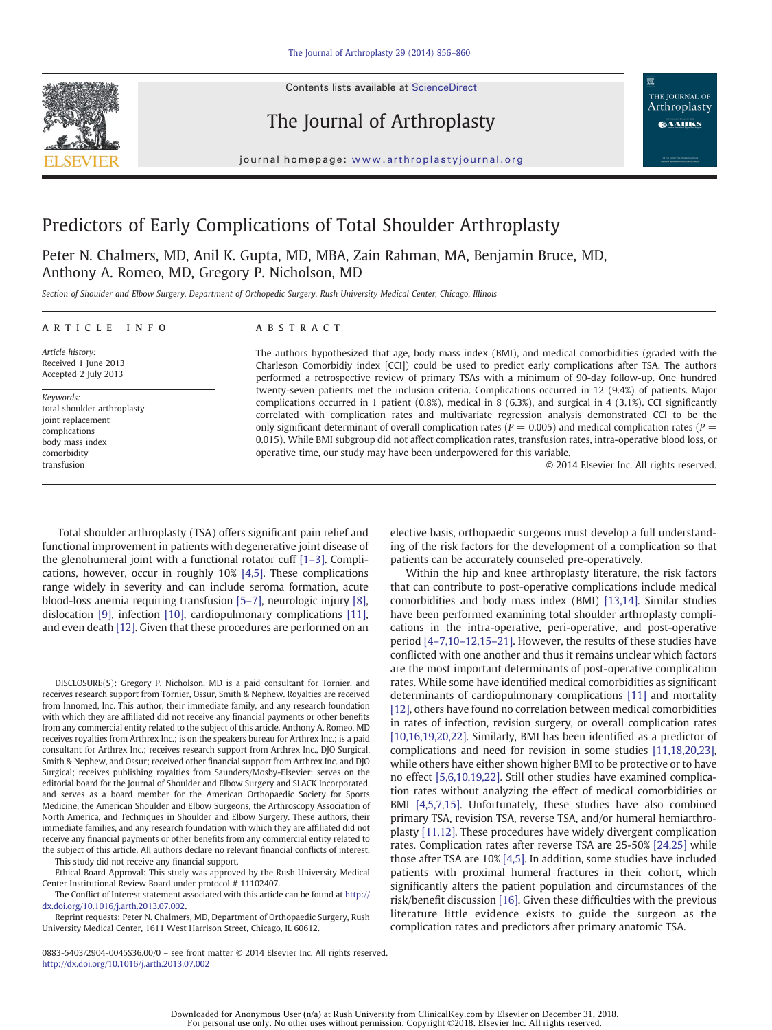Contents lists available at ScienceDirect



The Journal of Arthroplasty



journal homepage: www.arthroplastyjournal.org

# Predictors of Early Complications of Total Shoulder Arthroplasty

Peter N. Chalmers, MD, Anil K. Gupta, MD, MBA, Zain Rahman, MA, Benjamin Bruce, MD, Anthony A. Romeo, MD, Gregory P. Nicholson, MD

Section of Shoulder and Elbow Surgery, Department of Orthopedic Surgery, Rush University Medical Center, Chicago, Illinois

# article info abstract

Article history: Received 1 June 2013 Accepted 2 July 2013

Keywords: total shoulder arthroplasty joint replacement complications body mass index comorbidity transfusion

The authors hypothesized that age, body mass index (BMI), and medical comorbidities (graded with the Charleson Comorbidiy index [CCI]) could be used to predict early complications after TSA. The authors performed a retrospective review of primary TSAs with a minimum of 90-day follow-up. One hundred twenty-seven patients met the inclusion criteria. Complications occurred in 12 (9.4%) of patients. Major complications occurred in 1 patient (0.8%), medical in 8 (6.3%), and surgical in 4 (3.1%). CCI significantly correlated with complication rates and multivariate regression analysis demonstrated CCI to be the only significant determinant of overall complication rates ( $P = 0.005$ ) and medical complication rates ( $P = 0.005$ ) 0.015). While BMI subgroup did not affect complication rates, transfusion rates, intra-operative blood loss, or operative time, our study may have been underpowered for this variable.

© 2014 Elsevier Inc. All rights reserved.

Total shoulder arthroplasty (TSA) offers significant pain relief and functional improvement in patients with degenerative joint disease of the glenohumeral joint with a functional rotator cuff [1–3]. Complications, however, occur in roughly 10% [4,5]. These complications range widely in severity and can include seroma formation, acute blood-loss anemia requiring transfusion [5–7], neurologic injury [8], dislocation [9], infection [10], cardiopulmonary complications [11], and even death [12]. Given that these procedures are performed on an elective basis, orthopaedic surgeons must develop a full understanding of the risk factors for the development of a complication so that patients can be accurately counseled pre-operatively.

Within the hip and knee arthroplasty literature, the risk factors that can contribute to post-operative complications include medical comorbidities and body mass index (BMI) [13,14]. Similar studies have been performed examining total shoulder arthroplasty complications in the intra-operative, peri-operative, and post-operative period [4–7,10–12,15–21]. However, the results of these studies have conflicted with one another and thus it remains unclear which factors are the most important determinants of post-operative complication rates. While some have identified medical comorbidities as significant determinants of cardiopulmonary complications [11] and mortality [12], others have found no correlation between medical comorbidities in rates of infection, revision surgery, or overall complication rates [10,16,19,20,22]. Similarly, BMI has been identified as a predictor of complications and need for revision in some studies [11,18,20,23], while others have either shown higher BMI to be protective or to have no effect [5,6,10,19,22]. Still other studies have examined complication rates without analyzing the effect of medical comorbidities or BMI [4,5,7,15]. Unfortunately, these studies have also combined primary TSA, revision TSA, reverse TSA, and/or humeral hemiarthroplasty [11,12]. These procedures have widely divergent complication rates. Complication rates after reverse TSA are 25-50% [24,25] while those after TSA are 10% [4,5]. In addition, some studies have included patients with proximal humeral fractures in their cohort, which significantly alters the patient population and circumstances of the risk/benefit discussion [16]. Given these difficulties with the previous literature little evidence exists to guide the surgeon as the complication rates and predictors after primary anatomic TSA.

DISCLOSURE(S): Gregory P. Nicholson, MD is a paid consultant for Tornier, and receives research support from Tornier, Ossur, Smith & Nephew. Royalties are received from Innomed, Inc. This author, their immediate family, and any research foundation with which they are affiliated did not receive any financial payments or other benefits from any commercial entity related to the subject of this article. Anthony A. Romeo, MD receives royalties from Arthrex Inc.; is on the speakers bureau for Arthrex Inc.; is a paid consultant for Arthrex Inc.; receives research support from Arthrex Inc., DJO Surgical, Smith & Nephew, and Ossur; received other financial support from Arthrex Inc. and DJO Surgical; receives publishing royalties from Saunders/Mosby-Elsevier; serves on the editorial board for the Journal of Shoulder and Elbow Surgery and SLACK Incorporated, and serves as a board member for the American Orthopaedic Society for Sports Medicine, the American Shoulder and Elbow Surgeons, the Arthroscopy Association of North America, and Techniques in Shoulder and Elbow Surgery. These authors, their immediate families, and any research foundation with which they are affiliated did not receive any financial payments or other benefits from any commercial entity related to the subject of this article. All authors declare no relevant financial conflicts of interest. This study did not receive any financial support.

Ethical Board Approval: This study was approved by the Rush University Medical Center Institutional Review Board under protocol # 11102407.

The Conflict of Interest statement associated with this article can be found at http:// dx.doi.org/10.1016/j.arth.2013.07.002.

Reprint requests: Peter N. Chalmers, MD, Department of Orthopaedic Surgery, Rush University Medical Center, 1611 West Harrison Street, Chicago, IL 60612.

<sup>0883-5403/2904-0045\$36.00/0</sup> – see front matter © 2014 Elsevier Inc. All rights reserved. http://dx.doi.org/10.1016/j.arth.2013.07.002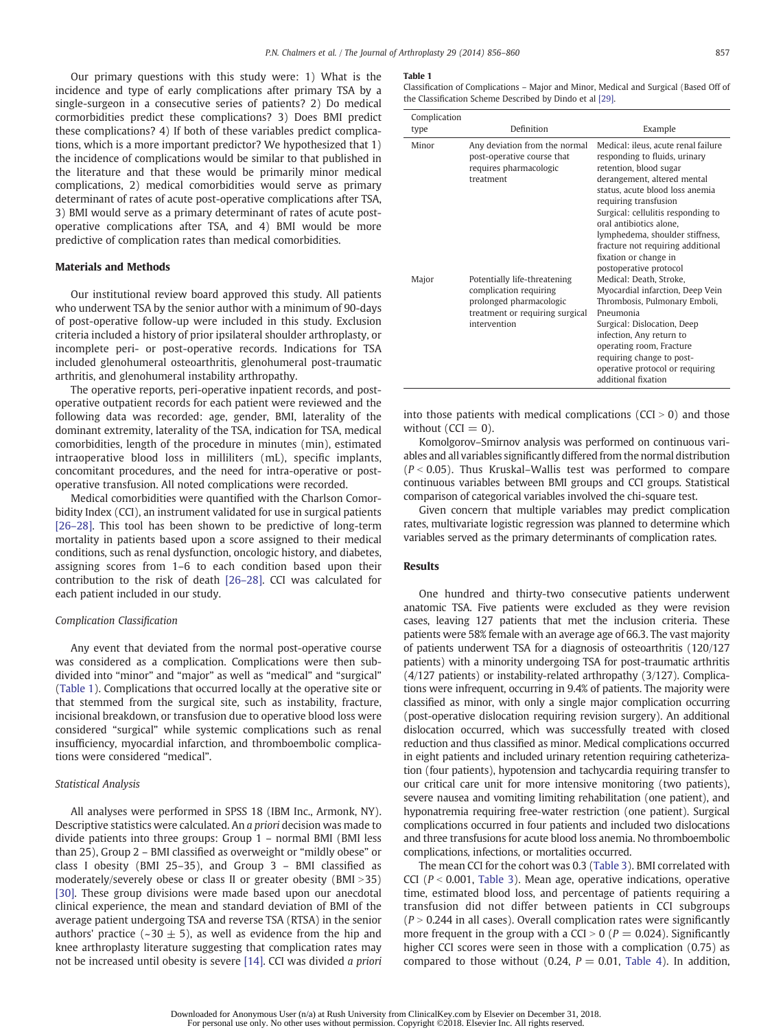Our primary questions with this study were: 1) What is the incidence and type of early complications after primary TSA by a single-surgeon in a consecutive series of patients? 2) Do medical cormorbidities predict these complications? 3) Does BMI predict these complications? 4) If both of these variables predict complications, which is a more important predictor? We hypothesized that 1) the incidence of complications would be similar to that published in the literature and that these would be primarily minor medical complications, 2) medical comorbidities would serve as primary determinant of rates of acute post-operative complications after TSA, 3) BMI would serve as a primary determinant of rates of acute postoperative complications after TSA, and 4) BMI would be more predictive of complication rates than medical comorbidities.

# Materials and Methods

Our institutional review board approved this study. All patients who underwent TSA by the senior author with a minimum of 90-days of post-operative follow-up were included in this study. Exclusion criteria included a history of prior ipsilateral shoulder arthroplasty, or incomplete peri- or post-operative records. Indications for TSA included glenohumeral osteoarthritis, glenohumeral post-traumatic arthritis, and glenohumeral instability arthropathy.

The operative reports, peri-operative inpatient records, and postoperative outpatient records for each patient were reviewed and the following data was recorded: age, gender, BMI, laterality of the dominant extremity, laterality of the TSA, indication for TSA, medical comorbidities, length of the procedure in minutes (min), estimated intraoperative blood loss in milliliters (mL), specific implants, concomitant procedures, and the need for intra-operative or postoperative transfusion. All noted complications were recorded.

Medical comorbidities were quantified with the Charlson Comorbidity Index (CCI), an instrument validated for use in surgical patients [26–28]. This tool has been shown to be predictive of long-term mortality in patients based upon a score assigned to their medical conditions, such as renal dysfunction, oncologic history, and diabetes, assigning scores from 1–6 to each condition based upon their contribution to the risk of death [26–28]. CCI was calculated for each patient included in our study.

# Complication Classification

Any event that deviated from the normal post-operative course was considered as a complication. Complications were then subdivided into "minor" and "major" as well as "medical" and "surgical" (Table 1). Complications that occurred locally at the operative site or that stemmed from the surgical site, such as instability, fracture, incisional breakdown, or transfusion due to operative blood loss were considered "surgical" while systemic complications such as renal insufficiency, myocardial infarction, and thromboembolic complications were considered "medical".

# Statistical Analysis

All analyses were performed in SPSS 18 (IBM Inc., Armonk, NY). Descriptive statistics were calculated. An a priori decision was made to divide patients into three groups: Group 1 – normal BMI (BMI less than 25), Group 2 – BMI classified as overweight or "mildly obese" or class I obesity (BMI 25–35), and Group 3 – BMI classified as moderately/severely obese or class II or greater obesity (BMI  $>35$ ) [30]. These group divisions were made based upon our anecdotal clinical experience, the mean and standard deviation of BMI of the average patient undergoing TSA and reverse TSA (RTSA) in the senior authors' practice (~30  $\pm$  5), as well as evidence from the hip and knee arthroplasty literature suggesting that complication rates may not be increased until obesity is severe [14]. CCI was divided a priori

#### Table 1

Classification of Complications – Major and Minor, Medical and Surgical (Based Off of the Classification Scheme Described by Dindo et al [29].

| Complication |                                                                                                                                      |                                                                                                                                                                                                                                                                                                                                                                                       |
|--------------|--------------------------------------------------------------------------------------------------------------------------------------|---------------------------------------------------------------------------------------------------------------------------------------------------------------------------------------------------------------------------------------------------------------------------------------------------------------------------------------------------------------------------------------|
| type         | Definition                                                                                                                           | Example                                                                                                                                                                                                                                                                                                                                                                               |
| Minor        | Any deviation from the normal<br>post-operative course that<br>requires pharmacologic<br>treatment                                   | Medical: ileus, acute renal failure<br>responding to fluids, urinary<br>retention, blood sugar<br>derangement, altered mental<br>status, acute blood loss anemia<br>requiring transfusion<br>Surgical: cellulitis responding to<br>oral antibiotics alone.<br>lymphedema, shoulder stiffness,<br>fracture not requiring additional<br>fixation or change in<br>postoperative protocol |
| Major        | Potentially life-threatening<br>complication requiring<br>prolonged pharmacologic<br>treatment or requiring surgical<br>intervention | Medical: Death, Stroke,<br>Myocardial infarction, Deep Vein<br>Thrombosis, Pulmonary Emboli,<br>Pneumonia<br>Surgical: Dislocation, Deep<br>infection, Any return to<br>operating room, Fracture<br>requiring change to post-<br>operative protocol or requiring<br>additional fixation                                                                                               |

into those patients with medical complications ( $CCI > 0$ ) and those without  $(CCI = 0)$ .

Komolgorov–Smirnov analysis was performed on continuous variables and all variables significantly differed from the normal distribution  $(P < 0.05)$ . Thus Kruskal–Wallis test was performed to compare continuous variables between BMI groups and CCI groups. Statistical comparison of categorical variables involved the chi-square test.

Given concern that multiple variables may predict complication rates, multivariate logistic regression was planned to determine which variables served as the primary determinants of complication rates.

# Results

One hundred and thirty-two consecutive patients underwent anatomic TSA. Five patients were excluded as they were revision cases, leaving 127 patients that met the inclusion criteria. These patients were 58% female with an average age of 66.3. The vast majority of patients underwent TSA for a diagnosis of osteoarthritis (120/127 patients) with a minority undergoing TSA for post-traumatic arthritis (4/127 patients) or instability-related arthropathy (3/127). Complications were infrequent, occurring in 9.4% of patients. The majority were classified as minor, with only a single major complication occurring (post-operative dislocation requiring revision surgery). An additional dislocation occurred, which was successfully treated with closed reduction and thus classified as minor. Medical complications occurred in eight patients and included urinary retention requiring catheterization (four patients), hypotension and tachycardia requiring transfer to our critical care unit for more intensive monitoring (two patients), severe nausea and vomiting limiting rehabilitation (one patient), and hyponatremia requiring free-water restriction (one patient). Surgical complications occurred in four patients and included two dislocations and three transfusions for acute blood loss anemia. No thromboembolic complications, infections, or mortalities occurred.

The mean CCI for the cohort was 0.3 (Table 3). BMI correlated with CCI ( $P < 0.001$ , Table 3). Mean age, operative indications, operative time, estimated blood loss, and percentage of patients requiring a transfusion did not differ between patients in CCI subgroups  $(P > 0.244$  in all cases). Overall complication rates were significantly more frequent in the group with a CCI  $> 0$  (P = 0.024). Significantly higher CCI scores were seen in those with a complication (0.75) as compared to those without (0.24,  $P = 0.01$ , Table 4). In addition,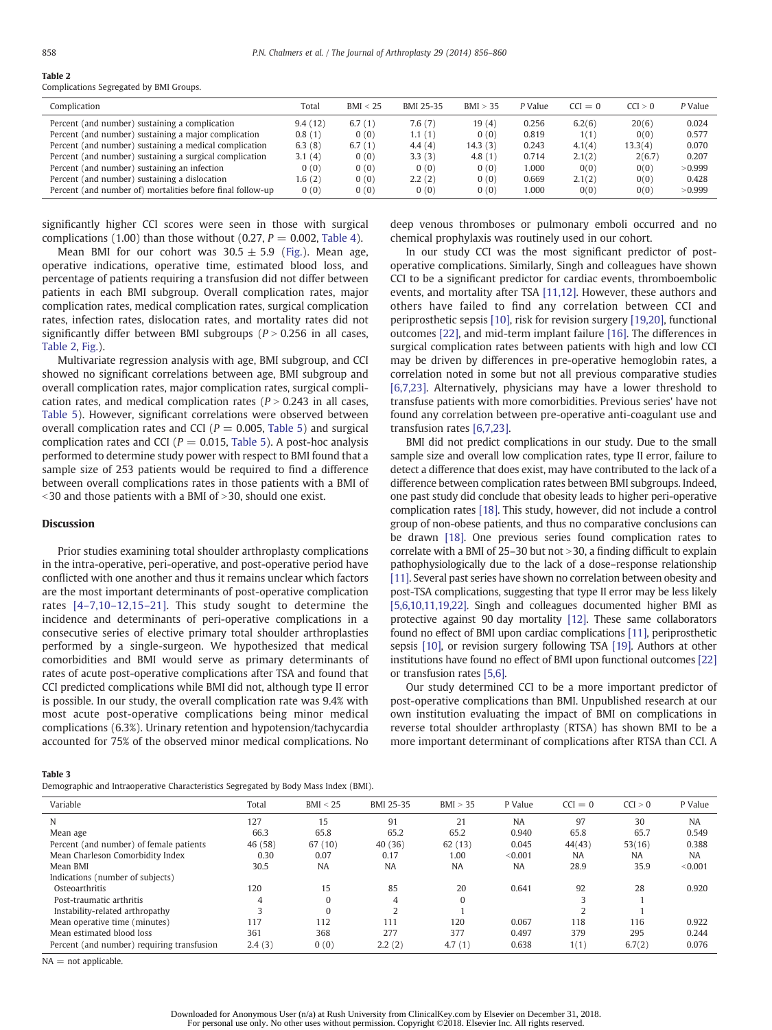#### Table 2 Complications Segregated by BMI Groups.

| Complication                                               | Total   | BMI < 25 | BMI 25-35 | BMI > 35  | P Value | $CCI = 0$ | CCI > 0 | P Value |
|------------------------------------------------------------|---------|----------|-----------|-----------|---------|-----------|---------|---------|
| Percent (and number) sustaining a complication             | 9.4(12) | 6.7(1)   | 7.6(7)    | 19(4)     | 0.256   | 6.2(6)    | 20(6)   | 0.024   |
| Percent (and number) sustaining a major complication       | 0.8(1)  | 0(0)     | 1.1(1)    | 0(0)      | 0.819   | 1(1)      | 0(0)    | 0.577   |
| Percent (and number) sustaining a medical complication     | 6.3(8)  | 6.7(1)   | 4.4(4)    | 14.3 (3)  | 0.243   | 4.1(4)    | 13.3(4) | 0.070   |
| Percent (and number) sustaining a surgical complication    | 3.1(4)  | 0(0)     | 3.3(3)    | 4.8 $(1)$ | 0.714   | 2.1(2)    | 2(6.7)  | 0.207   |
| Percent (and number) sustaining an infection               | 0(0)    | 0(0)     | 0(0)      | 0(0)      | 1.000   | 0(0)      | 0(0)    | >0.999  |
| Percent (and number) sustaining a dislocation              | 1.6(2)  | 0(0)     | 2.2(2)    | 0(0)      | 0.669   | 2.1(2)    | 0(0)    | 0.428   |
| Percent (and number of) mortalities before final follow-up | 0(0)    | 0(0)     | 0(0)      | 0(0)      | 000.    | 0(0)      | 0(0)    | >0.999  |
|                                                            |         |          |           |           |         |           |         |         |

significantly higher CCI scores were seen in those with surgical complications (1.00) than those without (0.27,  $P = 0.002$ , Table 4).

Mean BMI for our cohort was  $30.5 \pm 5.9$  (Fig.). Mean age, operative indications, operative time, estimated blood loss, and percentage of patients requiring a transfusion did not differ between patients in each BMI subgroup. Overall complication rates, major complication rates, medical complication rates, surgical complication rates, infection rates, dislocation rates, and mortality rates did not significantly differ between BMI subgroups ( $P > 0.256$  in all cases, Table 2, Fig.).

Multivariate regression analysis with age, BMI subgroup, and CCI showed no significant correlations between age, BMI subgroup and overall complication rates, major complication rates, surgical complication rates, and medical complication rates ( $P > 0.243$  in all cases, Table 5). However, significant correlations were observed between overall complication rates and CCI ( $P = 0.005$ , Table 5) and surgical complication rates and CCI ( $P = 0.015$ , Table 5). A post-hoc analysis performed to determine study power with respect to BMI found that a sample size of 253 patients would be required to find a difference between overall complications rates in those patients with a BMI of  $\le$ 30 and those patients with a BMI of  $>$ 30, should one exist.

### **Discussion**

Prior studies examining total shoulder arthroplasty complications in the intra-operative, peri-operative, and post-operative period have conflicted with one another and thus it remains unclear which factors are the most important determinants of post-operative complication rates [4–7,10–12,15–21]. This study sought to determine the incidence and determinants of peri-operative complications in a consecutive series of elective primary total shoulder arthroplasties performed by a single-surgeon. We hypothesized that medical comorbidities and BMI would serve as primary determinants of rates of acute post-operative complications after TSA and found that CCI predicted complications while BMI did not, although type II error is possible. In our study, the overall complication rate was 9.4% with most acute post-operative complications being minor medical complications (6.3%). Urinary retention and hypotension/tachycardia accounted for 75% of the observed minor medical complications. No

deep venous thromboses or pulmonary emboli occurred and no chemical prophylaxis was routinely used in our cohort.

In our study CCI was the most significant predictor of postoperative complications. Similarly, Singh and colleagues have shown CCI to be a significant predictor for cardiac events, thromboembolic events, and mortality after TSA [11,12]. However, these authors and others have failed to find any correlation between CCI and periprosthetic sepsis [10], risk for revision surgery [19,20], functional outcomes [22], and mid-term implant failure [16]. The differences in surgical complication rates between patients with high and low CCI may be driven by differences in pre-operative hemoglobin rates, a correlation noted in some but not all previous comparative studies [6,7,23]. Alternatively, physicians may have a lower threshold to transfuse patients with more comorbidities. Previous series' have not found any correlation between pre-operative anti-coagulant use and transfusion rates [6,7,23].

BMI did not predict complications in our study. Due to the small sample size and overall low complication rates, type II error, failure to detect a difference that does exist, may have contributed to the lack of a difference between complication rates between BMI subgroups. Indeed, one past study did conclude that obesity leads to higher peri-operative complication rates [18]. This study, however, did not include a control group of non-obese patients, and thus no comparative conclusions can be drawn [18]. One previous series found complication rates to correlate with a BMI of  $25-30$  but not  $>30$ , a finding difficult to explain pathophysiologically due to the lack of a dose–response relationship [11]. Several past series have shown no correlation between obesity and post-TSA complications, suggesting that type II error may be less likely [5,6,10,11,19,22]. Singh and colleagues documented higher BMI as protective against 90 day mortality [12]. These same collaborators found no effect of BMI upon cardiac complications [11], periprosthetic sepsis [10], or revision surgery following TSA [19]. Authors at other institutions have found no effect of BMI upon functional outcomes [22] or transfusion rates [5,6].

Our study determined CCI to be a more important predictor of post-operative complications than BMI. Unpublished research at our own institution evaluating the impact of BMI on complications in reverse total shoulder arthroplasty (RTSA) has shown BMI to be a more important determinant of complications after RTSA than CCI. A

# Table 3

Demographic and Intraoperative Characteristics Segregated by Body Mass Index (BMI).

| Variable                                   | Total   | BMI < 25  | BMI 25-35 | BMI > 35  | P Value   | $CCI = 0$      | CCI  > 0  | P Value   |
|--------------------------------------------|---------|-----------|-----------|-----------|-----------|----------------|-----------|-----------|
| N                                          | 127     | 15        | 91        | 21        | <b>NA</b> | 97             | 30        | <b>NA</b> |
| Mean age                                   | 66.3    | 65.8      | 65.2      | 65.2      | 0.940     | 65.8           | 65.7      | 0.549     |
| Percent (and number) of female patients    | 46 (58) | 67 (10)   | 40(36)    | 62(13)    | 0.045     | 44(43)         | 53(16)    | 0.388     |
| Mean Charleson Comorbidity Index           | 0.30    | 0.07      | 0.17      | 1.00      | < 0.001   | <b>NA</b>      | <b>NA</b> | <b>NA</b> |
| Mean BMI                                   | 30.5    | <b>NA</b> | <b>NA</b> | <b>NA</b> | <b>NA</b> | 28.9           | 35.9      | < 0.001   |
| Indications (number of subjects)           |         |           |           |           |           |                |           |           |
| Osteoarthritis                             | 120     | 15        | 85        | 20        | 0.641     | 92             | 28        | 0.920     |
| Post-traumatic arthritis                   | 4       |           | 4         | $\Omega$  |           |                |           |           |
| Instability-related arthropathy            |         |           | n         |           |           | $\overline{ }$ |           |           |
| Mean operative time (minutes)              | 117     | 112       | 111       | 120       | 0.067     | 118            | 116       | 0.922     |
| Mean estimated blood loss                  | 361     | 368       | 277       | 377       | 0.497     | 379            | 295       | 0.244     |
| Percent (and number) requiring transfusion | 2.4(3)  | 0(0)      | 2.2(2)    | 4.7(1)    | 0.638     | 1(1)           | 6.7(2)    | 0.076     |

 $NA = not applicable.$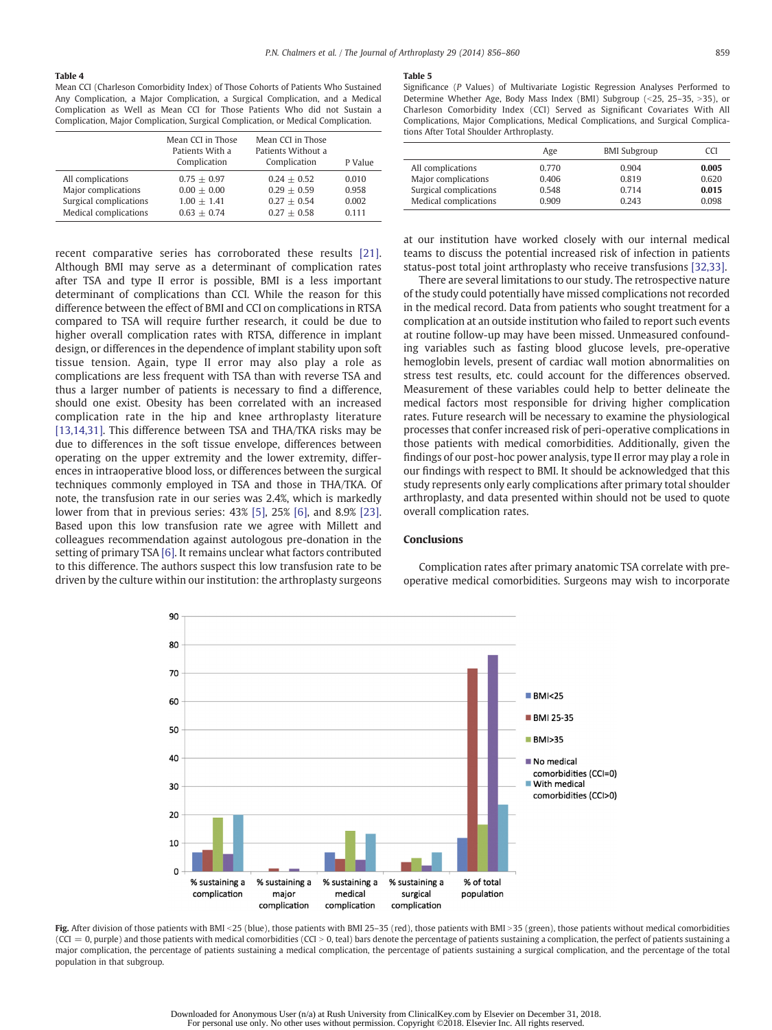#### Table 4

Mean CCI (Charleson Comorbidity Index) of Those Cohorts of Patients Who Sustained Any Complication, a Major Complication, a Surgical Complication, and a Medical Complication as Well as Mean CCI for Those Patients Who did not Sustain a Complication, Major Complication, Surgical Complication, or Medical Complication.

|                                                                                             | Mean CCI in Those<br>Patients With a<br>Complication             | Mean CCI in Those<br>Patients Without a<br>Complication          | P Value                          |
|---------------------------------------------------------------------------------------------|------------------------------------------------------------------|------------------------------------------------------------------|----------------------------------|
| All complications<br>Major complications<br>Surgical complications<br>Medical complications | $0.75 + 0.97$<br>$0.00 + 0.00$<br>$1.00 + 1.41$<br>$0.63 + 0.74$ | $0.24 + 0.52$<br>$0.29 + 0.59$<br>$0.27 + 0.54$<br>$0.27 + 0.58$ | 0.010<br>0.958<br>0.002<br>0.111 |

recent comparative series has corroborated these results [21]. Although BMI may serve as a determinant of complication rates after TSA and type II error is possible, BMI is a less important determinant of complications than CCI. While the reason for this difference between the effect of BMI and CCI on complications in RTSA compared to TSA will require further research, it could be due to higher overall complication rates with RTSA, difference in implant design, or differences in the dependence of implant stability upon soft tissue tension. Again, type II error may also play a role as complications are less frequent with TSA than with reverse TSA and thus a larger number of patients is necessary to find a difference, should one exist. Obesity has been correlated with an increased complication rate in the hip and knee arthroplasty literature [13,14,31]. This difference between TSA and THA/TKA risks may be due to differences in the soft tissue envelope, differences between operating on the upper extremity and the lower extremity, differences in intraoperative blood loss, or differences between the surgical techniques commonly employed in TSA and those in THA/TKA. Of note, the transfusion rate in our series was 2.4%, which is markedly lower from that in previous series: 43% [5], 25% [6], and 8.9% [23]. Based upon this low transfusion rate we agree with Millett and colleagues recommendation against autologous pre-donation in the setting of primary TSA [6]. It remains unclear what factors contributed to this difference. The authors suspect this low transfusion rate to be driven by the culture within our institution: the arthroplasty surgeons

#### Table 5

Significance (P Values) of Multivariate Logistic Regression Analyses Performed to Determine Whether Age, Body Mass Index (BMI) Subgroup (<25, 25–35, >35), or Charleson Comorbidity Index (CCI) Served as Significant Covariates With All Complications, Major Complications, Medical Complications, and Surgical Complications After Total Shoulder Arthroplasty.

|                        | Age   | <b>BMI Subgroup</b> | CCI   |
|------------------------|-------|---------------------|-------|
| All complications      | 0.770 | 0.904               | 0.005 |
| Major complications    | 0.406 | 0.819               | 0.620 |
| Surgical complications | 0.548 | 0.714               | 0.015 |
| Medical complications  | 0.909 | 0.243               | 0.098 |

at our institution have worked closely with our internal medical teams to discuss the potential increased risk of infection in patients status-post total joint arthroplasty who receive transfusions [32,33].

There are several limitations to our study. The retrospective nature of the study could potentially have missed complications not recorded in the medical record. Data from patients who sought treatment for a complication at an outside institution who failed to report such events at routine follow-up may have been missed. Unmeasured confounding variables such as fasting blood glucose levels, pre-operative hemoglobin levels, present of cardiac wall motion abnormalities on stress test results, etc. could account for the differences observed. Measurement of these variables could help to better delineate the medical factors most responsible for driving higher complication rates. Future research will be necessary to examine the physiological processes that confer increased risk of peri-operative complications in those patients with medical comorbidities. Additionally, given the findings of our post-hoc power analysis, type II error may play a role in our findings with respect to BMI. It should be acknowledged that this study represents only early complications after primary total shoulder arthroplasty, and data presented within should not be used to quote overall complication rates.

# Conclusions

Complication rates after primary anatomic TSA correlate with preoperative medical comorbidities. Surgeons may wish to incorporate



Fig. After division of those patients with BMI <25 (blue), those patients with BMI 25-35 (red), those patients with BMI >35 (green), those patients without medical comorbidities  $|CCI = 0$ , purple) and those patients with medical comorbidities  $|CCI| > 0$ , teal) bars denote the percentage of patients sustaining a complication, the perfect of patients sustaining a major complication, the percentage of patients sustaining a medical complication, the percentage of patients sustaining a surgical complication, and the percentage of the total population in that subgroup.